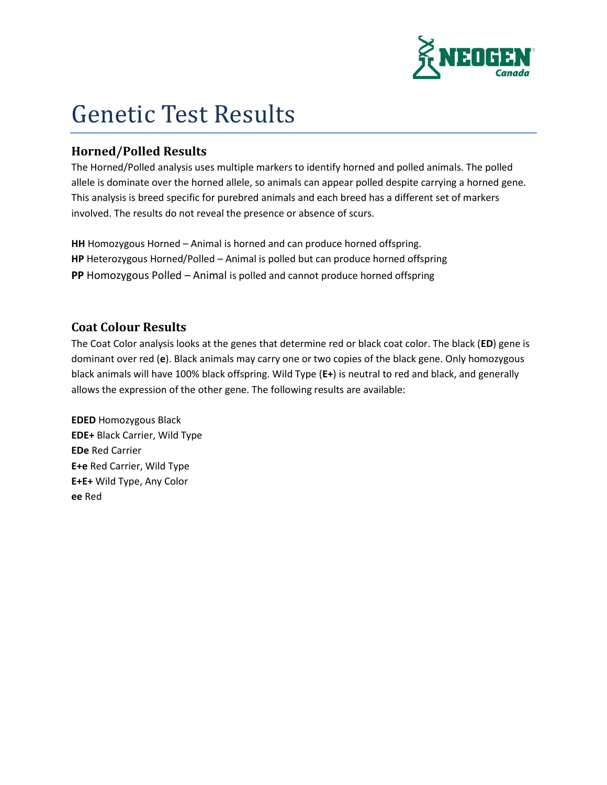

## Genetic Test Results

## **Horned/Polled Results**

The Horned/Polled analysis uses multiple markers to identify horned and polled animals. The polled allele is dominate over the horned allele, so animals can appear polled despite carrying a horned gene. This analysis is breed specific for purebred animals and each breed has a different set of markers involved. The results do not reveal the presence or absence of scurs.

**HH** Homozygous Horned – Animal is horned and can produce horned offspring. **HP** Heterozygous Horned/Polled – Animal is polled but can produce horned offspring **PP** Homozygous Polled – Animal is polled and cannot produce horned offspring

## **Coat Colour Results**

The Coat Color analysis looks at the genes that determine red or black coat color. The black (**ED**) gene is dominant over red (**e**). Black animals may carry one or two copies of the black gene. Only homozygous black animals will have 100% black offspring. Wild Type (**E+**) is neutral to red and black, and generally allows the expression of the other gene. The following results are available:

**EDED** Homozygous Black **EDE+** Black Carrier, Wild Type **EDe** Red Carrier **E+e** Red Carrier, Wild Type **E+E+** Wild Type, Any Color **ee** Red